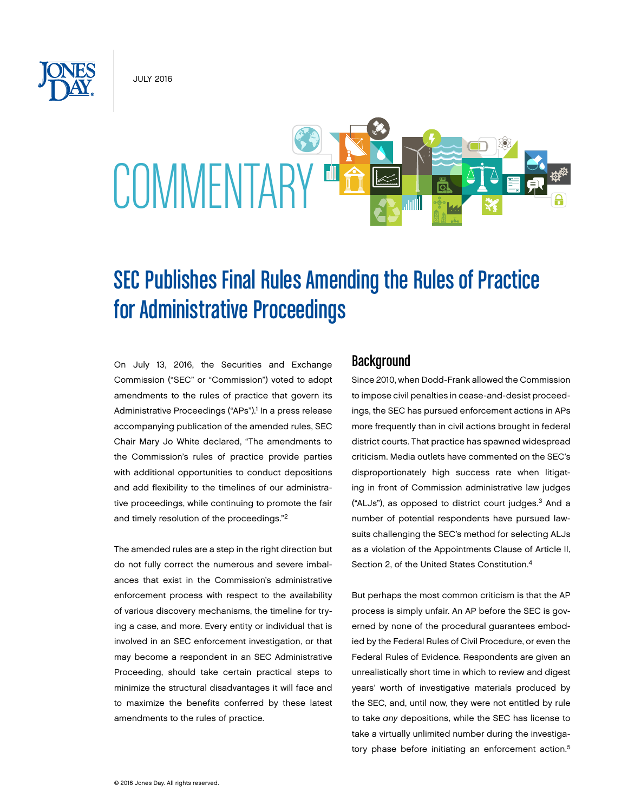July 2016



# SEC Publishes Final Rules Amending the Rules of Practice for Administrative Proceedings

On July 13, 2016, the Securities and Exchange Commission ("SEC" or "Commission") voted to adopt amendments to the rules of practice that govern its Administrative Proceedings ("APs").<sup>1</sup> In a press release accompanying publication of the amended rules, SEC Chair Mary Jo White declared, "The amendments to the Commission's rules of practice provide parties with additional opportunities to conduct depositions and add flexibility to the timelines of our administrative proceedings, while continuing to promote the fair and timely resolution of the proceedings."2

The amended rules are a step in the right direction but do not fully correct the numerous and severe imbalances that exist in the Commission's administrative enforcement process with respect to the availability of various discovery mechanisms, the timeline for trying a case, and more. Every entity or individual that is involved in an SEC enforcement investigation, or that may become a respondent in an SEC Administrative Proceeding, should take certain practical steps to minimize the structural disadvantages it will face and to maximize the benefits conferred by these latest amendments to the rules of practice.

## **Background**

Since 2010, when Dodd-Frank allowed the Commission to impose civil penalties in cease-and-desist proceedings, the SEC has pursued enforcement actions in APs more frequently than in civil actions brought in federal district courts. That practice has spawned widespread criticism. Media outlets have commented on the SEC's disproportionately high success rate when litigating in front of Commission administrative law judges ("ALJs"), as opposed to district court judges.3 And a number of potential respondents have pursued lawsuits challenging the SEC's method for selecting ALJs as a violation of the Appointments Clause of Article II, Section 2, of the United States Constitution.4

But perhaps the most common criticism is that the AP process is simply unfair. An AP before the SEC is governed by none of the procedural guarantees embodied by the Federal Rules of Civil Procedure, or even the Federal Rules of Evidence. Respondents are given an unrealistically short time in which to review and digest years' worth of investigative materials produced by the SEC, and, until now, they were not entitled by rule to take *any* depositions, while the SEC has license to take a virtually unlimited number during the investigatory phase before initiating an enforcement action.<sup>5</sup>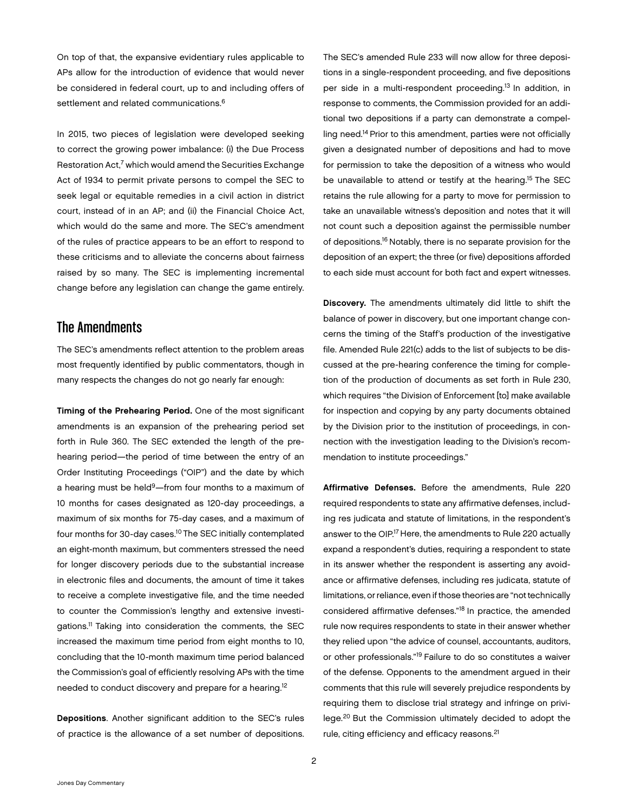On top of that, the expansive evidentiary rules applicable to APs allow for the introduction of evidence that would never be considered in federal court, up to and including offers of settlement and related communications.<sup>6</sup>

In 2015, two pieces of legislation were developed seeking to correct the growing power imbalance: (i) the Due Process Restoration Act,<sup>7</sup> which would amend the Securities Exchange Act of 1934 to permit private persons to compel the SEC to seek legal or equitable remedies in a civil action in district court, instead of in an AP; and (ii) the Financial Choice Act, which would do the same and more. The SEC's amendment of the rules of practice appears to be an effort to respond to these criticisms and to alleviate the concerns about fairness raised by so many. The SEC is implementing incremental change before any legislation can change the game entirely.

#### The Amendments

The SEC's amendments reflect attention to the problem areas most frequently identified by public commentators, though in many respects the changes do not go nearly far enough:

Timing of the Prehearing Period. One of the most significant amendments is an expansion of the prehearing period set forth in Rule 360. The SEC extended the length of the prehearing period—the period of time between the entry of an Order Instituting Proceedings ("OIP") and the date by which a hearing must be held $9$ —from four months to a maximum of 10 months for cases designated as 120-day proceedings, a maximum of six months for 75-day cases, and a maximum of four months for 30-day cases.10 The SEC initially contemplated an eight-month maximum, but commenters stressed the need for longer discovery periods due to the substantial increase in electronic files and documents, the amount of time it takes to receive a complete investigative file, and the time needed to counter the Commission's lengthy and extensive investigations.<sup>11</sup> Taking into consideration the comments, the SEC increased the maximum time period from eight months to 10, concluding that the 10-month maximum time period balanced the Commission's goal of efficiently resolving APs with the time needed to conduct discovery and prepare for a hearing.12

Depositions. Another significant addition to the SEC's rules of practice is the allowance of a set number of depositions. The SEC's amended Rule 233 will now allow for three depositions in a single-respondent proceeding, and five depositions per side in a multi-respondent proceeding.<sup>13</sup> In addition, in response to comments, the Commission provided for an additional two depositions if a party can demonstrate a compelling need.14 Prior to this amendment, parties were not officially given a designated number of depositions and had to move for permission to take the deposition of a witness who would be unavailable to attend or testify at the hearing.<sup>15</sup> The SEC retains the rule allowing for a party to move for permission to take an unavailable witness's deposition and notes that it will not count such a deposition against the permissible number of depositions.16 Notably, there is no separate provision for the deposition of an expert; the three (or five) depositions afforded to each side must account for both fact and expert witnesses.

Discovery. The amendments ultimately did little to shift the balance of power in discovery, but one important change concerns the timing of the Staff's production of the investigative file. Amended Rule 221(c) adds to the list of subjects to be discussed at the pre-hearing conference the timing for completion of the production of documents as set forth in Rule 230, which requires "the Division of Enforcement [to] make available for inspection and copying by any party documents obtained by the Division prior to the institution of proceedings, in connection with the investigation leading to the Division's recommendation to institute proceedings."

Affirmative Defenses. Before the amendments, Rule 220 required respondents to state any affirmative defenses, including res judicata and statute of limitations, in the respondent's answer to the OIP.<sup>17</sup> Here, the amendments to Rule 220 actually expand a respondent's duties, requiring a respondent to state in its answer whether the respondent is asserting any avoidance or affirmative defenses, including res judicata, statute of limitations, or reliance, even if those theories are "not technically considered affirmative defenses."18 In practice, the amended rule now requires respondents to state in their answer whether they relied upon "the advice of counsel, accountants, auditors, or other professionals."19 Failure to do so constitutes a waiver of the defense. Opponents to the amendment argued in their comments that this rule will severely prejudice respondents by requiring them to disclose trial strategy and infringe on privilege.20 But the Commission ultimately decided to adopt the rule, citing efficiency and efficacy reasons.<sup>21</sup>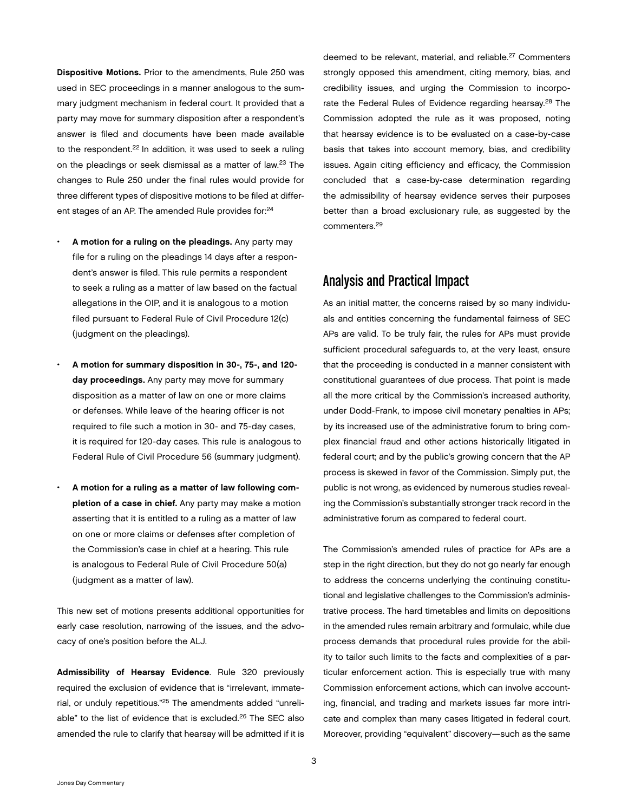Dispositive Motions. Prior to the amendments, Rule 250 was used in SEC proceedings in a manner analogous to the summary judgment mechanism in federal court. It provided that a party may move for summary disposition after a respondent's answer is filed and documents have been made available to the respondent.<sup>22</sup> In addition, it was used to seek a ruling on the pleadings or seek dismissal as a matter of law.23 The changes to Rule 250 under the final rules would provide for three different types of dispositive motions to be filed at different stages of an AP. The amended Rule provides for:<sup>24</sup>

- A motion for a ruling on the pleadings. Any party may file for a ruling on the pleadings 14 days after a respondent's answer is filed. This rule permits a respondent to seek a ruling as a matter of law based on the factual allegations in the OIP, and it is analogous to a motion filed pursuant to Federal Rule of Civil Procedure 12(c) (judgment on the pleadings).
- A motion for summary disposition in 30-, 75-, and 120 day proceedings. Any party may move for summary disposition as a matter of law on one or more claims or defenses. While leave of the hearing officer is not required to file such a motion in 30- and 75-day cases, it is required for 120-day cases. This rule is analogous to Federal Rule of Civil Procedure 56 (summary judgment).
- A motion for a ruling as a matter of law following completion of a case in chief. Any party may make a motion asserting that it is entitled to a ruling as a matter of law on one or more claims or defenses after completion of the Commission's case in chief at a hearing. This rule is analogous to Federal Rule of Civil Procedure 50(a) (judgment as a matter of law).

This new set of motions presents additional opportunities for early case resolution, narrowing of the issues, and the advocacy of one's position before the ALJ.

Admissibility of Hearsay Evidence. Rule 320 previously required the exclusion of evidence that is "irrelevant, immaterial, or unduly repetitious."25 The amendments added "unreliable" to the list of evidence that is excluded.26 The SEC also amended the rule to clarify that hearsay will be admitted if it is

deemed to be relevant, material, and reliable.<sup>27</sup> Commenters strongly opposed this amendment, citing memory, bias, and credibility issues, and urging the Commission to incorporate the Federal Rules of Evidence regarding hearsay.<sup>28</sup> The Commission adopted the rule as it was proposed, noting that hearsay evidence is to be evaluated on a case-by-case basis that takes into account memory, bias, and credibility issues. Again citing efficiency and efficacy, the Commission concluded that a case-by-case determination regarding the admissibility of hearsay evidence serves their purposes better than a broad exclusionary rule, as suggested by the commenters.29

# Analysis and Practical Impact

As an initial matter, the concerns raised by so many individuals and entities concerning the fundamental fairness of SEC APs are valid. To be truly fair, the rules for APs must provide sufficient procedural safeguards to, at the very least, ensure that the proceeding is conducted in a manner consistent with constitutional guarantees of due process. That point is made all the more critical by the Commission's increased authority, under Dodd-Frank, to impose civil monetary penalties in APs; by its increased use of the administrative forum to bring complex financial fraud and other actions historically litigated in federal court; and by the public's growing concern that the AP process is skewed in favor of the Commission. Simply put, the public is not wrong, as evidenced by numerous studies revealing the Commission's substantially stronger track record in the administrative forum as compared to federal court.

The Commission's amended rules of practice for APs are a step in the right direction, but they do not go nearly far enough to address the concerns underlying the continuing constitutional and legislative challenges to the Commission's administrative process. The hard timetables and limits on depositions in the amended rules remain arbitrary and formulaic, while due process demands that procedural rules provide for the ability to tailor such limits to the facts and complexities of a particular enforcement action. This is especially true with many Commission enforcement actions, which can involve accounting, financial, and trading and markets issues far more intricate and complex than many cases litigated in federal court. Moreover, providing "equivalent" discovery—such as the same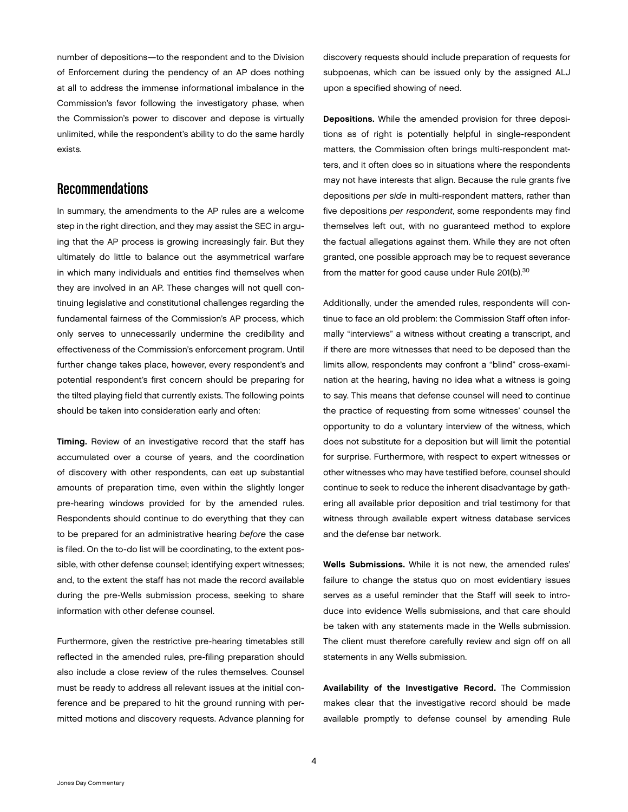number of depositions—to the respondent and to the Division of Enforcement during the pendency of an AP does nothing at all to address the immense informational imbalance in the Commission's favor following the investigatory phase, when the Commission's power to discover and depose is virtually unlimited, while the respondent's ability to do the same hardly exists.

## **Recommendations**

In summary, the amendments to the AP rules are a welcome step in the right direction, and they may assist the SEC in arguing that the AP process is growing increasingly fair. But they ultimately do little to balance out the asymmetrical warfare in which many individuals and entities find themselves when they are involved in an AP. These changes will not quell continuing legislative and constitutional challenges regarding the fundamental fairness of the Commission's AP process, which only serves to unnecessarily undermine the credibility and effectiveness of the Commission's enforcement program. Until further change takes place, however, every respondent's and potential respondent's first concern should be preparing for the tilted playing field that currently exists. The following points should be taken into consideration early and often:

Timing. Review of an investigative record that the staff has accumulated over a course of years, and the coordination of discovery with other respondents, can eat up substantial amounts of preparation time, even within the slightly longer pre-hearing windows provided for by the amended rules. Respondents should continue to do everything that they can to be prepared for an administrative hearing *before* the case is filed. On the to-do list will be coordinating, to the extent possible, with other defense counsel; identifying expert witnesses; and, to the extent the staff has not made the record available during the pre-Wells submission process, seeking to share information with other defense counsel.

Furthermore, given the restrictive pre-hearing timetables still reflected in the amended rules, pre-filing preparation should also include a close review of the rules themselves. Counsel must be ready to address all relevant issues at the initial conference and be prepared to hit the ground running with permitted motions and discovery requests. Advance planning for discovery requests should include preparation of requests for subpoenas, which can be issued only by the assigned ALJ upon a specified showing of need.

Depositions. While the amended provision for three depositions as of right is potentially helpful in single-respondent matters, the Commission often brings multi-respondent matters, and it often does so in situations where the respondents may not have interests that align. Because the rule grants five depositions *per side* in multi-respondent matters, rather than five depositions *per respondent*, some respondents may find themselves left out, with no guaranteed method to explore the factual allegations against them. While they are not often granted, one possible approach may be to request severance from the matter for good cause under Rule 201(b).<sup>30</sup>

Additionally, under the amended rules, respondents will continue to face an old problem: the Commission Staff often informally "interviews" a witness without creating a transcript, and if there are more witnesses that need to be deposed than the limits allow, respondents may confront a "blind" cross-examination at the hearing, having no idea what a witness is going to say. This means that defense counsel will need to continue the practice of requesting from some witnesses' counsel the opportunity to do a voluntary interview of the witness, which does not substitute for a deposition but will limit the potential for surprise. Furthermore, with respect to expert witnesses or other witnesses who may have testified before, counsel should continue to seek to reduce the inherent disadvantage by gathering all available prior deposition and trial testimony for that witness through available expert witness database services and the defense bar network.

Wells Submissions. While it is not new, the amended rules' failure to change the status quo on most evidentiary issues serves as a useful reminder that the Staff will seek to introduce into evidence Wells submissions, and that care should be taken with any statements made in the Wells submission. The client must therefore carefully review and sign off on all statements in any Wells submission.

Availability of the Investigative Record. The Commission makes clear that the investigative record should be made available promptly to defense counsel by amending Rule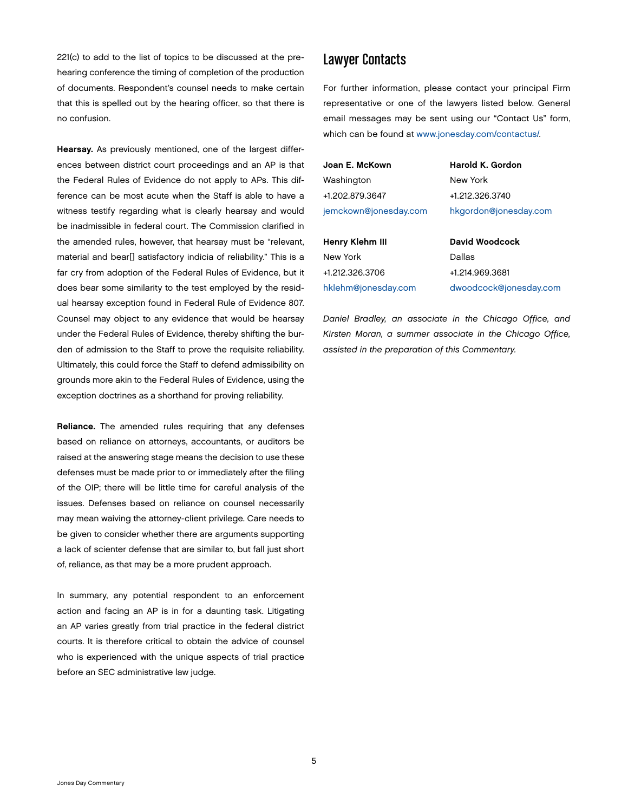221(c) to add to the list of topics to be discussed at the prehearing conference the timing of completion of the production of documents. Respondent's counsel needs to make certain that this is spelled out by the hearing officer, so that there is no confusion.

Hearsay. As previously mentioned, one of the largest differences between district court proceedings and an AP is that the Federal Rules of Evidence do not apply to APs. This difference can be most acute when the Staff is able to have a witness testify regarding what is clearly hearsay and would be inadmissible in federal court. The Commission clarified in the amended rules, however, that hearsay must be "relevant, material and bear[] satisfactory indicia of reliability." This is a far cry from adoption of the Federal Rules of Evidence, but it does bear some similarity to the test employed by the residual hearsay exception found in Federal Rule of Evidence 807. Counsel may object to any evidence that would be hearsay under the Federal Rules of Evidence, thereby shifting the burden of admission to the Staff to prove the requisite reliability. Ultimately, this could force the Staff to defend admissibility on grounds more akin to the Federal Rules of Evidence, using the exception doctrines as a shorthand for proving reliability.

Reliance. The amended rules requiring that any defenses based on reliance on attorneys, accountants, or auditors be raised at the answering stage means the decision to use these defenses must be made prior to or immediately after the filing of the OIP; there will be little time for careful analysis of the issues. Defenses based on reliance on counsel necessarily may mean waiving the attorney-client privilege. Care needs to be given to consider whether there are arguments supporting a lack of scienter defense that are similar to, but fall just short of, reliance, as that may be a more prudent approach.

In summary, any potential respondent to an enforcement action and facing an AP is in for a daunting task. Litigating an AP varies greatly from trial practice in the federal district courts. It is therefore critical to obtain the advice of counsel who is experienced with the unique aspects of trial practice before an SEC administrative law judge.

#### Lawyer Contacts

For further information, please contact your principal Firm representative or one of the lawyers listed below. General email messages may be sent using our "Contact Us" form, which can be found at www.jonesday.com/contactus/.

| Joan E. McKown        | Harold K. Gordon      |
|-----------------------|-----------------------|
| Washington            | New York              |
| +1.202.879.3647       | +1.212.326.3740       |
| jemckown@jonesday.com | hkgordon@jonesday.com |
| Henry Klehm III       | David Woodcock        |

|                     | DUVIU MOUUCOCR         |
|---------------------|------------------------|
| New York            | Dallas                 |
| +1.212.326.3706     | +1.214.969.3681        |
| hklehm@jonesday.com | dwoodcock@jonesday.com |

*Daniel Bradley, an associate in the Chicago Office, and Kirsten Moran, a summer associate in the Chicago Office, assisted in the preparation of this Commentary.*